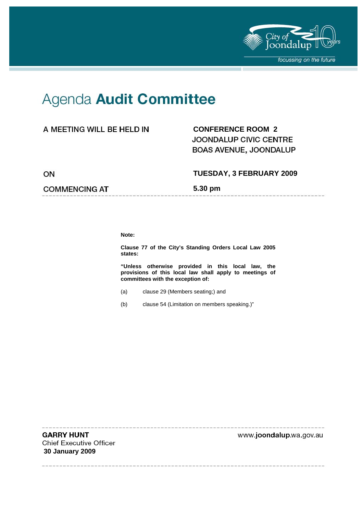

--------------

# Agenda Audit Committee

### A MEETING WILL BE HELD IN

## **CONFERENCE ROOM 2**  JOONDALUP CIVIC CENTRE BOAS AVENUE, JOONDALUP

ON

#### **COMMENCING AT**

**TUESDAY, 3 FEBRUARY 2009** 

**5.30 pm** 

**Note:** 

**Clause 77 of the City's Standing Orders Local Law 2005 states:** 

**"Unless otherwise provided in this local law, the provisions of this local law shall apply to meetings of committees with the exception of:** 

- (a) clause 29 (Members seating;) and
- (b) clause 54 (Limitation on members speaking.)"

**GARRY HUNT Chief Executive Officer 30 January 2009** 

www.joondalup.wa.gov.au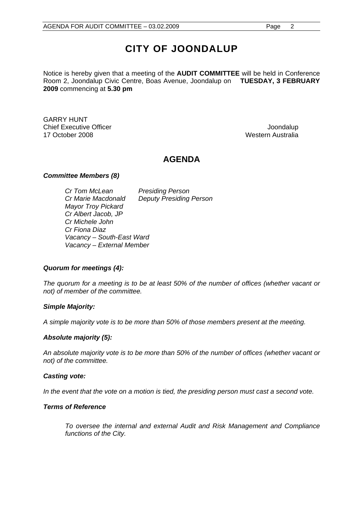## **CITY OF JOONDALUP**

Notice is hereby given that a meeting of the **AUDIT COMMITTEE** will be held in Conference Room 2, Joondalup Civic Centre, Boas Avenue, Joondalup on **TUESDAY, 3 FEBRUARY 2009** commencing at **5.30 pm** 

GARRY HUNT Chief Executive Officer **Joondalup Chief Executive Officer** 17 October 2008 Western Australia

## **AGENDA**

#### *Committee Members (8)*

*Cr Tom McLean Presiding Person Cr Marie Macdonald Deputy Presiding Person Mayor Troy Pickard Cr Albert Jacob, JP Cr Michele John Cr Fiona Diaz Vacancy – South-East Ward Vacancy – External Member* 

#### *Quorum for meetings (4):*

*The quorum for a meeting is to be at least 50% of the number of offices (whether vacant or not) of member of the committee.* 

#### *Simple Majority:*

*A simple majority vote is to be more than 50% of those members present at the meeting.* 

#### *Absolute majority (5):*

*An absolute majority vote is to be more than 50% of the number of offices (whether vacant or not) of the committee.* 

#### *Casting vote:*

In the event that the vote on a motion is tied, the presiding person must cast a second vote.

#### *Terms of Reference*

*To oversee the internal and external Audit and Risk Management and Compliance functions of the City.*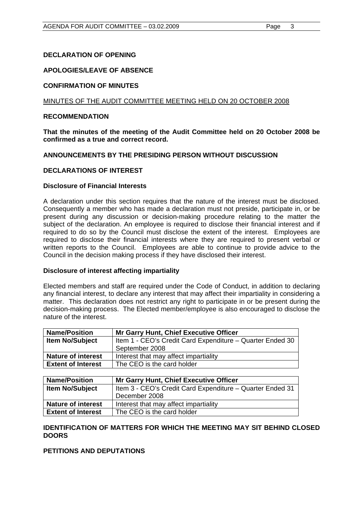#### **DECLARATION OF OPENING**

#### **APOLOGIES/LEAVE OF ABSENCE**

#### **CONFIRMATION OF MINUTES**

#### MINUTES OF THE AUDIT COMMITTEE MEETING HELD ON 20 OCTOBER 2008

#### **RECOMMENDATION**

**That the minutes of the meeting of the Audit Committee held on 20 October 2008 be confirmed as a true and correct record.** 

#### **ANNOUNCEMENTS BY THE PRESIDING PERSON WITHOUT DISCUSSION**

#### **DECLARATIONS OF INTEREST**

#### **Disclosure of Financial Interests**

A declaration under this section requires that the nature of the interest must be disclosed. Consequently a member who has made a declaration must not preside, participate in, or be present during any discussion or decision-making procedure relating to the matter the subject of the declaration. An employee is required to disclose their financial interest and if required to do so by the Council must disclose the extent of the interest. Employees are required to disclose their financial interests where they are required to present verbal or written reports to the Council. Employees are able to continue to provide advice to the Council in the decision making process if they have disclosed their interest.

#### **Disclosure of interest affecting impartiality**

Elected members and staff are required under the Code of Conduct, in addition to declaring any financial interest, to declare any interest that may affect their impartiality in considering a matter. This declaration does not restrict any right to participate in or be present during the decision-making process. The Elected member/employee is also encouraged to disclose the nature of the interest.

| <b>Name/Position</b>      | <b>Mr Garry Hunt, Chief Executive Officer</b>             |
|---------------------------|-----------------------------------------------------------|
| <b>Item No/Subject</b>    | Item 1 - CEO's Credit Card Expenditure - Quarter Ended 30 |
|                           | September 2008                                            |
| <b>Nature of interest</b> | Interest that may affect impartiality                     |
| <b>Extent of Interest</b> | The CEO is the card holder                                |
|                           |                                                           |

| <b>Name/Position</b>      | <b>Mr Garry Hunt, Chief Executive Officer</b>             |
|---------------------------|-----------------------------------------------------------|
| <b>Item No/Subject</b>    | Item 3 - CEO's Credit Card Expenditure - Quarter Ended 31 |
|                           | December 2008                                             |
| <b>Nature of interest</b> | Interest that may affect impartiality                     |
| <b>Extent of Interest</b> | The CEO is the card holder                                |

#### **IDENTIFICATION OF MATTERS FOR WHICH THE MEETING MAY SIT BEHIND CLOSED DOORS**

#### **PETITIONS AND DEPUTATIONS**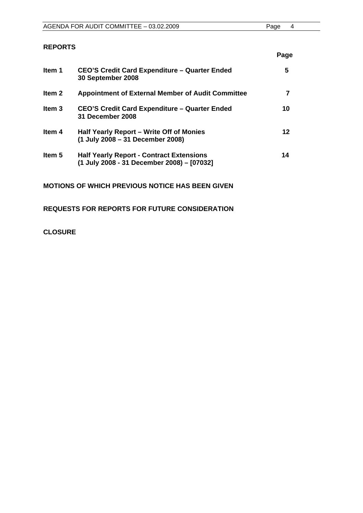| AGENDA FOR AUDIT COMMITTEE - 03.02.2009 | Page |  |
|-----------------------------------------|------|--|
|                                         |      |  |

#### **REPORTS**

|                                                                                               | Page |
|-----------------------------------------------------------------------------------------------|------|
| <b>CEO'S Credit Card Expenditure - Quarter Ended</b><br>30 September 2008                     | 5    |
| <b>Appointment of External Member of Audit Committee</b>                                      |      |
| <b>CEO'S Credit Card Expenditure - Quarter Ended</b><br>31 December 2008                      | 10   |
| Half Yearly Report – Write Off of Monies<br>(1 July 2008 – 31 December 2008)                  | 12   |
| <b>Half Yearly Report - Contract Extensions</b><br>(1 July 2008 - 31 December 2008) - [07032] | 14   |
|                                                                                               |      |

**MOTIONS OF WHICH PREVIOUS NOTICE HAS BEEN GIVEN** 

**REQUESTS FOR REPORTS FOR FUTURE CONSIDERATION** 

**CLOSURE**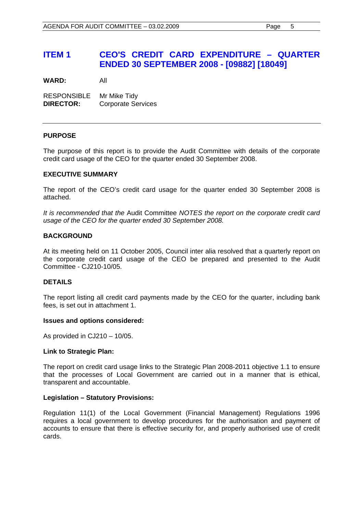## **ITEM 1 CEO'S CREDIT CARD EXPENDITURE – QUARTER ENDED 30 SEPTEMBER 2008 - [09882] [18049]**

**WARD:** All

RESPONSIBLE Mr Mike Tidy **DIRECTOR:** Corporate Services

#### **PURPOSE**

The purpose of this report is to provide the Audit Committee with details of the corporate credit card usage of the CEO for the quarter ended 30 September 2008.

#### **EXECUTIVE SUMMARY**

The report of the CEO's credit card usage for the quarter ended 30 September 2008 is attached.

*It is recommended that the* Audit Committee *NOTES the report on the corporate credit card usage of the CEO for the quarter ended 30 September 2008.* 

#### **BACKGROUND**

At its meeting held on 11 October 2005, Council inter alia resolved that a quarterly report on the corporate credit card usage of the CEO be prepared and presented to the Audit Committee - CJ210-10/05.

#### **DETAILS**

The report listing all credit card payments made by the CEO for the quarter, including bank fees, is set out in attachment 1.

#### **Issues and options considered:**

As provided in CJ210 – 10/05.

#### **Link to Strategic Plan:**

The report on credit card usage links to the Strategic Plan 2008-2011 objective 1.1 to ensure that the processes of Local Government are carried out in a manner that is ethical, transparent and accountable.

#### **Legislation – Statutory Provisions:**

Regulation 11(1) of the Local Government (Financial Management) Regulations 1996 requires a local government to develop procedures for the authorisation and payment of accounts to ensure that there is effective security for, and properly authorised use of credit cards.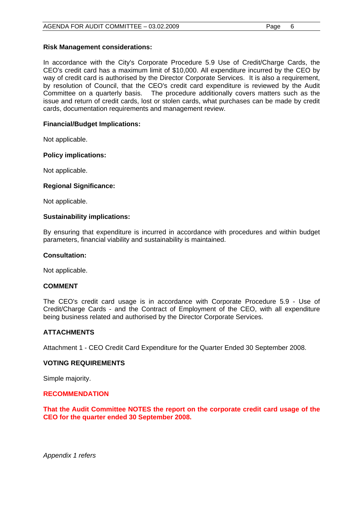#### **Risk Management considerations:**

In accordance with the City's Corporate Procedure 5.9 Use of Credit/Charge Cards, the CEO's credit card has a maximum limit of \$10,000. All expenditure incurred by the CEO by way of credit card is authorised by the Director Corporate Services. It is also a requirement, by resolution of Council, that the CEO's credit card expenditure is reviewed by the Audit Committee on a quarterly basis. The procedure additionally covers matters such as the issue and return of credit cards, lost or stolen cards, what purchases can be made by credit cards, documentation requirements and management review.

#### **Financial/Budget Implications:**

Not applicable.

#### **Policy implications:**

Not applicable.

#### **Regional Significance:**

Not applicable.

#### **Sustainability implications:**

By ensuring that expenditure is incurred in accordance with procedures and within budget parameters, financial viability and sustainability is maintained.

#### **Consultation:**

Not applicable.

#### **COMMENT**

The CEO's credit card usage is in accordance with Corporate Procedure 5.9 - Use of Credit/Charge Cards - and the Contract of Employment of the CEO, with all expenditure being business related and authorised by the Director Corporate Services.

#### **ATTACHMENTS**

Attachment 1 - CEO Credit Card Expenditure for the Quarter Ended 30 September 2008.

#### **VOTING REQUIREMENTS**

Simple majority.

#### **RECOMMENDATION**

**That the Audit Committee NOTES the report on the corporate credit card usage of the CEO for the quarter ended 30 September 2008.** 

*Appendix 1 refers*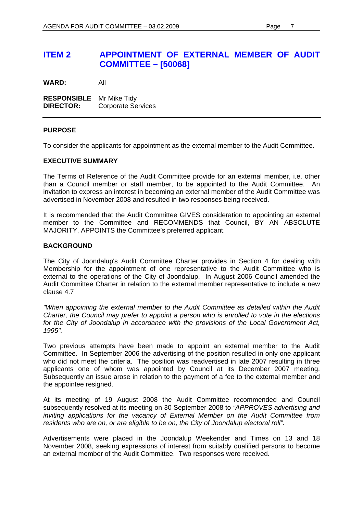**WARD:** All

**RESPONSIBLE** Mr Mike Tidy **DIRECTOR:** Corporate Services

#### **PURPOSE**

To consider the applicants for appointment as the external member to the Audit Committee.

#### **EXECUTIVE SUMMARY**

The Terms of Reference of the Audit Committee provide for an external member, i.e. other than a Council member or staff member, to be appointed to the Audit Committee. An invitation to express an interest in becoming an external member of the Audit Committee was advertised in November 2008 and resulted in two responses being received.

It is recommended that the Audit Committee GIVES consideration to appointing an external member to the Committee and RECOMMENDS that Council, BY AN ABSOLUTE MAJORITY, APPOINTS the Committee's preferred applicant.

#### **BACKGROUND**

The City of Joondalup's Audit Committee Charter provides in Section 4 for dealing with Membership for the appointment of one representative to the Audit Committee who is external to the operations of the City of Joondalup. In August 2006 Council amended the Audit Committee Charter in relation to the external member representative to include a new clause 4.7

*"When appointing the external member to the Audit Committee as detailed within the Audit Charter, the Council may prefer to appoint a person who is enrolled to vote in the elections for the City of Joondalup in accordance with the provisions of the Local Government Act, 1995".* 

Two previous attempts have been made to appoint an external member to the Audit Committee. In September 2006 the advertising of the position resulted in only one applicant who did not meet the criteria. The position was readvertised in late 2007 resulting in three applicants one of whom was appointed by Council at its December 2007 meeting. Subsequently an issue arose in relation to the payment of a fee to the external member and the appointee resigned.

At its meeting of 19 August 2008 the Audit Committee recommended and Council subsequently resolved at its meeting on 30 September 2008 to *"APPROVES advertising and inviting applications for the vacancy of External Member on the Audit Committee from residents who are on, or are eligible to be on, the City of Joondalup electoral roll"*.

Advertisements were placed in the Joondalup Weekender and Times on 13 and 18 November 2008, seeking expressions of interest from suitably qualified persons to become an external member of the Audit Committee. Two responses were received.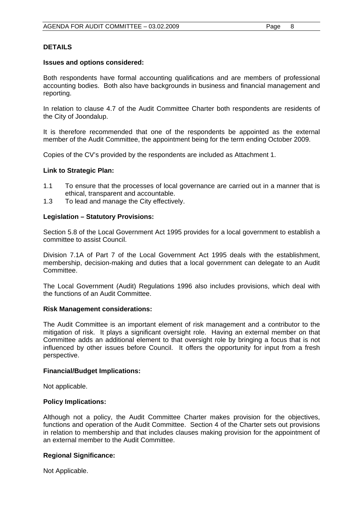#### **DETAILS**

#### **Issues and options considered:**

Both respondents have formal accounting qualifications and are members of professional accounting bodies. Both also have backgrounds in business and financial management and reporting.

In relation to clause 4.7 of the Audit Committee Charter both respondents are residents of the City of Joondalup.

It is therefore recommended that one of the respondents be appointed as the external member of the Audit Committee, the appointment being for the term ending October 2009.

Copies of the CV's provided by the respondents are included as Attachment 1.

#### **Link to Strategic Plan:**

- 1.1 To ensure that the processes of local governance are carried out in a manner that is ethical, transparent and accountable.
- 1.3 To lead and manage the City effectively.

#### **Legislation – Statutory Provisions:**

Section 5.8 of the Local Government Act 1995 provides for a local government to establish a committee to assist Council.

Division 7.1A of Part 7 of the Local Government Act 1995 deals with the establishment, membership, decision-making and duties that a local government can delegate to an Audit Committee.

The Local Government (Audit) Regulations 1996 also includes provisions, which deal with the functions of an Audit Committee.

#### **Risk Management considerations:**

The Audit Committee is an important element of risk management and a contributor to the mitigation of risk. It plays a significant oversight role. Having an external member on that Committee adds an additional element to that oversight role by bringing a focus that is not influenced by other issues before Council. It offers the opportunity for input from a fresh perspective.

#### **Financial/Budget Implications:**

Not applicable.

#### **Policy Implications:**

Although not a policy, the Audit Committee Charter makes provision for the objectives, functions and operation of the Audit Committee. Section 4 of the Charter sets out provisions in relation to membership and that includes clauses making provision for the appointment of an external member to the Audit Committee.

#### **Regional Significance:**

Not Applicable.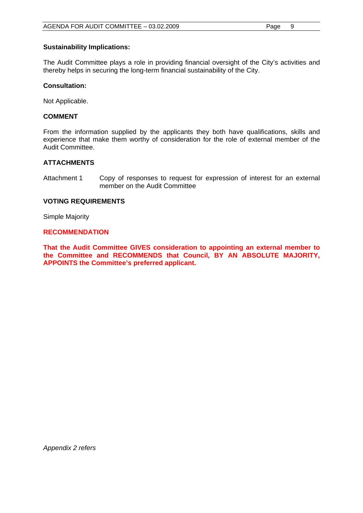#### **Sustainability Implications:**

The Audit Committee plays a role in providing financial oversight of the City's activities and thereby helps in securing the long-term financial sustainability of the City.

#### **Consultation:**

Not Applicable.

#### **COMMENT**

From the information supplied by the applicants they both have qualifications, skills and experience that make them worthy of consideration for the role of external member of the Audit Committee.

#### **ATTACHMENTS**

Attachment 1 Copy of responses to request for expression of interest for an external member on the Audit Committee

#### **VOTING REQUIREMENTS**

Simple Majority

#### **RECOMMENDATION**

**That the Audit Committee GIVES consideration to appointing an external member to the Committee and RECOMMENDS that Council, BY AN ABSOLUTE MAJORITY, APPOINTS the Committee's preferred applicant.**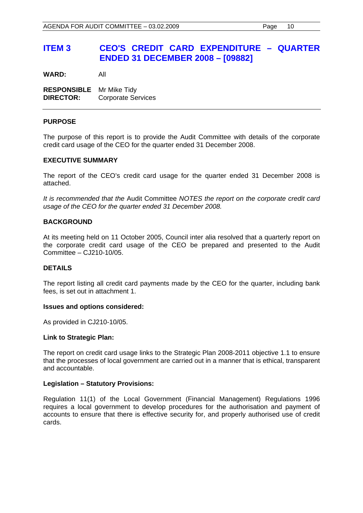## **ITEM 3 CEO'S CREDIT CARD EXPENDITURE – QUARTER ENDED 31 DECEMBER 2008 – [09882]**

**WARD:** All

**RESPONSIBLE** Mr Mike Tidy **DIRECTOR:** Corporate Services

#### **PURPOSE**

The purpose of this report is to provide the Audit Committee with details of the corporate credit card usage of the CEO for the quarter ended 31 December 2008.

#### **EXECUTIVE SUMMARY**

The report of the CEO's credit card usage for the quarter ended 31 December 2008 is attached.

*It is recommended that the* Audit Committee *NOTES the report on the corporate credit card usage of the CEO for the quarter ended 31 December 2008.* 

#### **BACKGROUND**

At its meeting held on 11 October 2005, Council inter alia resolved that a quarterly report on the corporate credit card usage of the CEO be prepared and presented to the Audit Committee – CJ210-10/05.

#### **DETAILS**

The report listing all credit card payments made by the CEO for the quarter, including bank fees, is set out in attachment 1.

#### **Issues and options considered:**

As provided in CJ210-10/05.

#### **Link to Strategic Plan:**

The report on credit card usage links to the Strategic Plan 2008-2011 objective 1.1 to ensure that the processes of local government are carried out in a manner that is ethical, transparent and accountable.

#### **Legislation – Statutory Provisions:**

Regulation 11(1) of the Local Government (Financial Management) Regulations 1996 requires a local government to develop procedures for the authorisation and payment of accounts to ensure that there is effective security for, and properly authorised use of credit cards.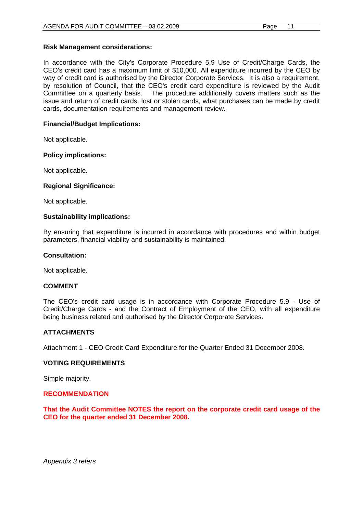#### **Risk Management considerations:**

In accordance with the City's Corporate Procedure 5.9 Use of Credit/Charge Cards, the CEO's credit card has a maximum limit of \$10,000. All expenditure incurred by the CEO by way of credit card is authorised by the Director Corporate Services. It is also a requirement, by resolution of Council, that the CEO's credit card expenditure is reviewed by the Audit Committee on a quarterly basis. The procedure additionally covers matters such as the issue and return of credit cards, lost or stolen cards, what purchases can be made by credit cards, documentation requirements and management review.

#### **Financial/Budget Implications:**

Not applicable.

#### **Policy implications:**

Not applicable.

#### **Regional Significance:**

Not applicable.

#### **Sustainability implications:**

By ensuring that expenditure is incurred in accordance with procedures and within budget parameters, financial viability and sustainability is maintained.

#### **Consultation:**

Not applicable.

#### **COMMENT**

The CEO's credit card usage is in accordance with Corporate Procedure 5.9 - Use of Credit/Charge Cards - and the Contract of Employment of the CEO, with all expenditure being business related and authorised by the Director Corporate Services.

#### **ATTACHMENTS**

Attachment 1 - CEO Credit Card Expenditure for the Quarter Ended 31 December 2008.

#### **VOTING REQUIREMENTS**

Simple majority.

#### **RECOMMENDATION**

**That the Audit Committee NOTES the report on the corporate credit card usage of the CEO for the quarter ended 31 December 2008.** 

*Appendix 3 refers*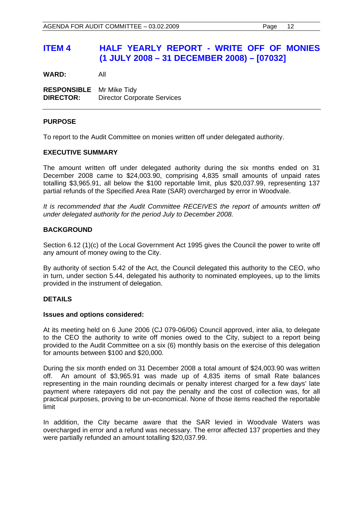## **ITEM 4 HALF YEARLY REPORT - WRITE OFF OF MONIES (1 JULY 2008 – 31 DECEMBER 2008) – [07032]**

**WARD:** All

**RESPONSIBLE** Mr Mike Tidy **DIRECTOR:** Director Corporate Services

#### **PURPOSE**

To report to the Audit Committee on monies written off under delegated authority.

#### **EXECUTIVE SUMMARY**

The amount written off under delegated authority during the six months ended on 31 December 2008 came to \$24,003.90, comprising 4,835 small amounts of unpaid rates totalling \$3,965.91, all below the \$100 reportable limit, plus \$20,037.99, representing 137 partial refunds of the Specified Area Rate (SAR) overcharged by error in Woodvale.

*It is recommended that the Audit Committee RECEIVES the report of amounts written off under delegated authority for the period July to December 2008.* 

#### **BACKGROUND**

Section 6.12 (1)(c) of the Local Government Act 1995 gives the Council the power to write off any amount of money owing to the City.

By authority of section 5.42 of the Act, the Council delegated this authority to the CEO, who in turn, under section 5.44, delegated his authority to nominated employees, up to the limits provided in the instrument of delegation.

#### **DETAILS**

#### **Issues and options considered:**

At its meeting held on 6 June 2006 (CJ 079-06/06) Council approved, inter alia, to delegate to the CEO the authority to write off monies owed to the City, subject to a report being provided to the Audit Committee on a six (6) monthly basis on the exercise of this delegation for amounts between \$100 and \$20,000.

During the six month ended on 31 December 2008 a total amount of \$24,003.90 was written off. An amount of \$3,965.91 was made up of 4,835 items of small Rate balances representing in the main rounding decimals or penalty interest charged for a few days' late payment where ratepayers did not pay the penalty and the cost of collection was, for all practical purposes, proving to be un-economical. None of those items reached the reportable limit

In addition, the City became aware that the SAR levied in Woodvale Waters was overcharged in error and a refund was necessary. The error affected 137 properties and they were partially refunded an amount totalling \$20,037.99.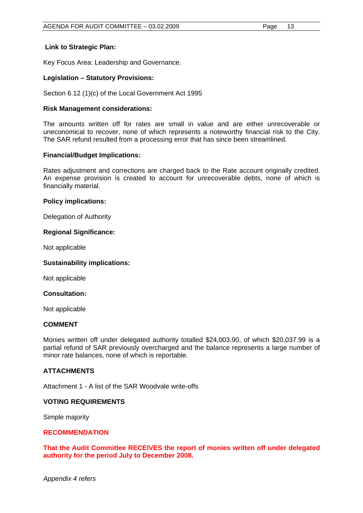#### **Link to Strategic Plan:**

Key Focus Area: Leadership and Governance.

#### **Legislation – Statutory Provisions:**

Section 6.12 (1)(c) of the Local Government Act 1995

#### **Risk Management considerations:**

The amounts written off for rates are small in value and are either unrecoverable or uneconomical to recover, none of which represents a noteworthy financial risk to the City. The SAR refund resulted from a processing error that has since been streamlined.

#### **Financial/Budget Implications:**

Rates adjustment and corrections are charged back to the Rate account originally credited. An expense provision is created to account for unrecoverable debts, none of which is financially material.

#### **Policy implications:**

Delegation of Authority

#### **Regional Significance:**

Not applicable

#### **Sustainability implications:**

Not applicable

#### **Consultation:**

Not applicable

#### **COMMENT**

Monies written off under delegated authority totalled \$24,003.90, of which \$20,037.99 is a partial refund of SAR previously overcharged and the balance represents a large number of minor rate balances, none of which is reportable.

#### **ATTACHMENTS**

Attachment 1 - A list of the SAR Woodvale write-offs

#### **VOTING REQUIREMENTS**

Simple majority

#### **RECOMMENDATION**

**That the Audit Committee RECEIVES the report of monies written off under delegated authority for the period July to December 2008.**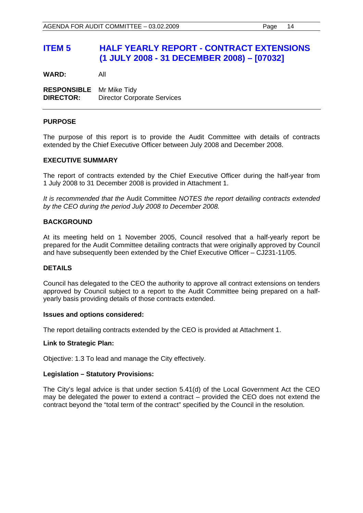## **ITEM 5 HALF YEARLY REPORT - CONTRACT EXTENSIONS (1 JULY 2008 - 31 DECEMBER 2008) – [07032]**

**WARD:** All

**RESPONSIBLE** Mr Mike Tidy **DIRECTOR:** Director Corporate Services

#### **PURPOSE**

The purpose of this report is to provide the Audit Committee with details of contracts extended by the Chief Executive Officer between July 2008 and December 2008.

#### **EXECUTIVE SUMMARY**

The report of contracts extended by the Chief Executive Officer during the half-year from 1 July 2008 to 31 December 2008 is provided in Attachment 1.

*It is recommended that the* Audit Committee *NOTES the report detailing contracts extended by the CEO during the period July 2008 to December 2008.* 

#### **BACKGROUND**

At its meeting held on 1 November 2005, Council resolved that a half-yearly report be prepared for the Audit Committee detailing contracts that were originally approved by Council and have subsequently been extended by the Chief Executive Officer – CJ231-11/05.

#### **DETAILS**

Council has delegated to the CEO the authority to approve all contract extensions on tenders approved by Council subject to a report to the Audit Committee being prepared on a halfyearly basis providing details of those contracts extended.

#### **Issues and options considered:**

The report detailing contracts extended by the CEO is provided at Attachment 1.

#### **Link to Strategic Plan:**

Objective: 1.3 To lead and manage the City effectively.

#### **Legislation – Statutory Provisions:**

The City's legal advice is that under section 5.41(d) of the Local Government Act the CEO may be delegated the power to extend a contract – provided the CEO does not extend the contract beyond the "total term of the contract" specified by the Council in the resolution.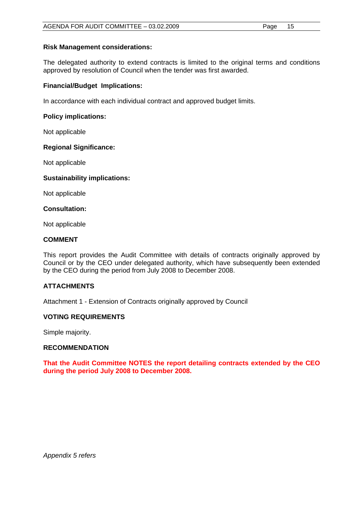#### **Risk Management considerations:**

The delegated authority to extend contracts is limited to the original terms and conditions approved by resolution of Council when the tender was first awarded.

#### **Financial/Budget Implications:**

In accordance with each individual contract and approved budget limits.

#### **Policy implications:**

Not applicable

#### **Regional Significance:**

Not applicable

#### **Sustainability implications:**

Not applicable

#### **Consultation:**

Not applicable

#### **COMMENT**

This report provides the Audit Committee with details of contracts originally approved by Council or by the CEO under delegated authority, which have subsequently been extended by the CEO during the period from July 2008 to December 2008.

#### **ATTACHMENTS**

Attachment 1 - Extension of Contracts originally approved by Council

#### **VOTING REQUIREMENTS**

Simple majority.

#### **RECOMMENDATION**

**That the Audit Committee NOTES the report detailing contracts extended by the CEO during the period July 2008 to December 2008.**